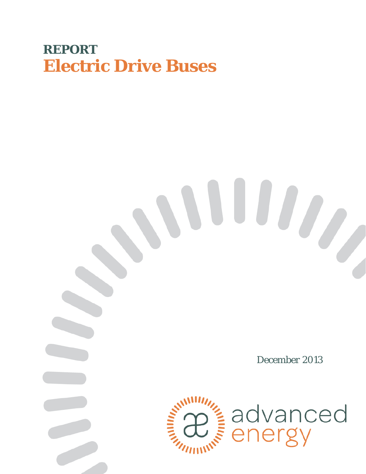# **REPORT Electric Drive Buses**

# *December 2013*



advanced<br>energy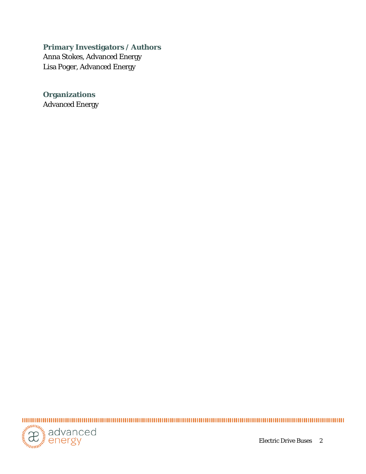#### **Primary Investigators / Authors**

Anna Stokes, Advanced Energy Lisa Poger, Advanced Energy

**Organizations** Advanced Energy



Electric Drive Buses 2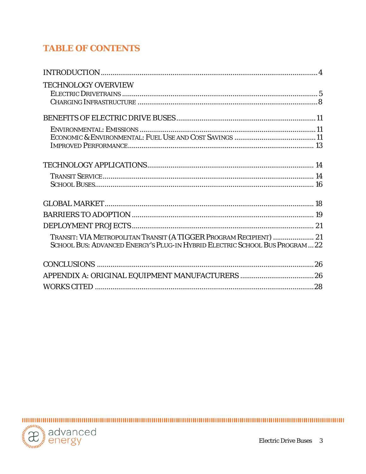# **TABLE OF CONTENTS**

| <b>TECHNOLOGY OVERVIEW</b>                                                                                                                         |  |
|----------------------------------------------------------------------------------------------------------------------------------------------------|--|
|                                                                                                                                                    |  |
|                                                                                                                                                    |  |
|                                                                                                                                                    |  |
|                                                                                                                                                    |  |
|                                                                                                                                                    |  |
|                                                                                                                                                    |  |
|                                                                                                                                                    |  |
|                                                                                                                                                    |  |
|                                                                                                                                                    |  |
| TRANSIT: VIA METROPOLITAN TRANSIT (A TIGGER PROGRAM RECIPIENT)  21<br>SCHOOL BUS: ADVANCED ENERGY'S PLUG-IN HYBRID ELECTRIC SCHOOL BUS PROGRAM  22 |  |
|                                                                                                                                                    |  |
|                                                                                                                                                    |  |
|                                                                                                                                                    |  |

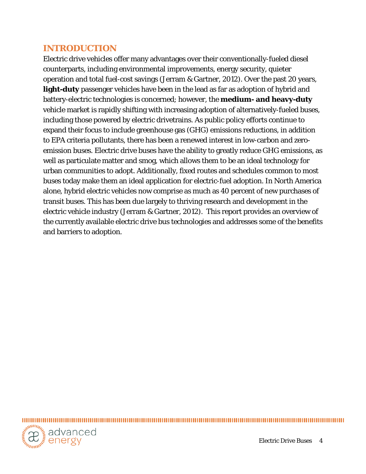# <span id="page-3-0"></span>**INTRODUCTION**

Electric drive vehicles offer many advantages over their conventionally-fueled diesel counterparts, including environmental improvements, energy security, quieter operation and total fuel-cost savings (Jerram & Gartner, 2012). Over the past 20 years, **light-duty** passenger vehicles have been in the lead as far as adoption of hybrid and battery-electric technologies is concerned; however, the **medium- and heavy-duty**  vehicle market is rapidly shifting with increasing adoption of alternatively-fueled buses, including those powered by electric drivetrains. As public policy efforts continue to expand their focus to include greenhouse gas (GHG) emissions reductions, in addition to EPA criteria pollutants, there has been a renewed interest in low-carbon and zeroemission buses. Electric drive buses have the ability to greatly reduce GHG emissions, as well as particulate matter and smog, which allows them to be an ideal technology for urban communities to adopt. Additionally, fixed routes and schedules common to most buses today make them an ideal application for electric-fuel adoption. In North America alone, hybrid electric vehicles now comprise as much as 40 percent of new purchases of transit buses. This has been due largely to thriving research and development in the electric vehicle industry (Jerram & Gartner, 2012). This report provides an overview of the currently available electric drive bus technologies and addresses some of the benefits and barriers to adoption.

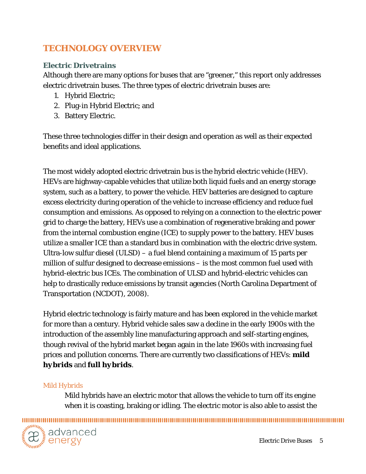# <span id="page-4-0"></span>**TECHNOLOGY OVERVIEW**

## <span id="page-4-1"></span>**Electric Drivetrains**

Although there are many options for buses that are "greener," this report only addresses electric drivetrain buses. The three types of electric drivetrain buses are:

- 1. Hybrid Electric;
- 2. Plug-in Hybrid Electric; and
- 3. Battery Electric.

These three technologies differ in their design and operation as well as their expected benefits and ideal applications.

The most widely adopted electric drivetrain bus is the hybrid electric vehicle (HEV). HEVs are highway-capable vehicles that utilize both liquid fuels and an energy storage system, such as a battery, to power the vehicle. HEV batteries are designed to capture excess electricity during operation of the vehicle to increase efficiency and reduce fuel consumption and emissions. As opposed to relying on a connection to the electric power grid to charge the battery, HEVs use a combination of regenerative braking and power from the internal combustion engine (ICE) to supply power to the battery. HEV buses utilize a smaller ICE than a standard bus in combination with the electric drive system. Ultra-low sulfur diesel (ULSD) – a fuel blend containing a maximum of 15 parts per million of sulfur designed to decrease emissions – is the most common fuel used with hybrid-electric bus ICEs. The combination of ULSD and hybrid-electric vehicles can help to drastically reduce emissions by transit agencies (North Carolina Department of Transportation (NCDOT), 2008).

Hybrid electric technology is fairly mature and has been explored in the vehicle market for more than a century. Hybrid vehicle sales saw a decline in the early 1900s with the introduction of the assembly line manufacturing approach and self-starting engines, though revival of the hybrid market began again in the late 1960s with increasing fuel prices and pollution concerns. There are currently two classifications of HEVs: *mild hybrids* and *full hybrids*.

#### *Mild Hybrids*

Mild hybrids have an electric motor that allows the vehicle to turn off its engine when it is coasting, braking or idling. The electric motor is also able to assist the

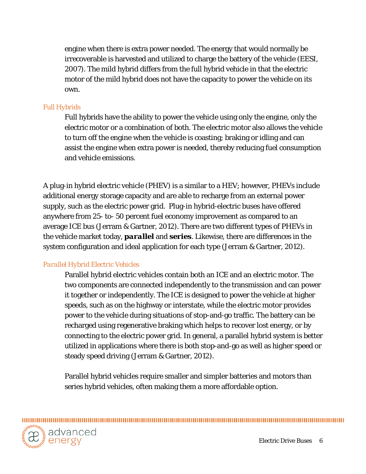engine when there is extra power needed. The energy that would normally be irrecoverable is harvested and utilized to charge the battery of the vehicle (EESI, 2007). The mild hybrid differs from the full hybrid vehicle in that the electric motor of the mild hybrid does not have the capacity to power the vehicle on its own.

#### *Full Hybrids*

Full hybrids have the ability to power the vehicle using only the engine, only the electric motor or a combination of both. The electric motor also allows the vehicle to turn off the engine when the vehicle is coasting; braking or idling and can assist the engine when extra power is needed, thereby reducing fuel consumption and vehicle emissions.

A plug-in hybrid electric vehicle (PHEV) is a similar to a HEV; however, PHEVs include additional energy storage capacity and are able to recharge from an external power supply, such as the electric power grid. Plug-in hybrid-electric buses have offered anywhere from 25- to- 50 percent fuel economy improvement as compared to an average ICE bus (Jerram & Gartner, 2012). There are two different types of PHEVs in the vehicle market today, *parallel* and *series*. Likewise, there are differences in the system configuration and ideal application for each type (Jerram & Gartner, 2012).

#### *Parallel Hybrid Electric Vehicles*

Parallel hybrid electric vehicles contain both an ICE and an electric motor. The two components are connected independently to the transmission and can power it together or independently. The ICE is designed to power the vehicle at higher speeds, such as on the highway or interstate, while the electric motor provides power to the vehicle during situations of stop-and-go traffic. The battery can be recharged using regenerative braking which helps to recover lost energy, or by connecting to the electric power grid. In general, a parallel hybrid system is better utilized in applications where there is both stop-and-go as well as higher speed or steady speed driving (Jerram & Gartner, 2012).

Parallel hybrid vehicles require smaller and simpler batteries and motors than series hybrid vehicles, often making them a more affordable option.

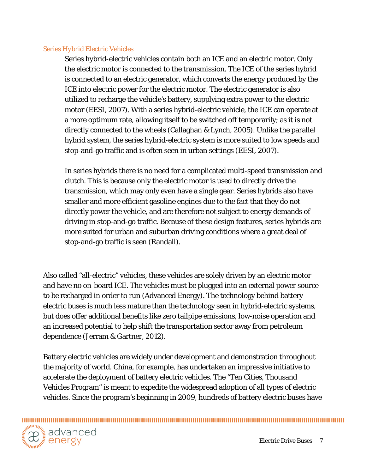#### *Series Hybrid Electric Vehicles*

Series hybrid-electric vehicles contain both an ICE and an electric motor. Only the electric motor is connected to the transmission. The ICE of the series hybrid is connected to an electric generator, which converts the energy produced by the ICE into electric power for the electric motor. The electric generator is also utilized to recharge the vehicle's battery, supplying extra power to the electric motor (EESI, 2007). With a series hybrid-electric vehicle, the ICE can operate at a more optimum rate, allowing itself to be switched off temporarily; as it is not directly connected to the wheels (Callaghan & Lynch, 2005). Unlike the parallel hybrid system, the series hybrid-electric system is more suited to low speeds and stop-and-go traffic and is often seen in urban settings (EESI, 2007).

In series hybrids there is no need for a complicated multi-speed transmission and clutch. This is because only the electric motor is used to directly drive the transmission, which may only even have a single gear. Series hybrids also have smaller and more efficient gasoline engines due to the fact that they do not directly power the vehicle, and are therefore not subject to energy demands of driving in stop-and-go traffic. Because of these design features, series hybrids are more suited for urban and suburban driving conditions where a great deal of stop-and-go traffic is seen (Randall).

Also called "all-electric" vehicles, these vehicles are solely driven by an electric motor and have no on-board ICE. The vehicles must be plugged into an external power source to be recharged in order to run (Advanced Energy). The technology behind battery electric buses is much less mature than the technology seen in hybrid-electric systems, but does offer additional benefits like zero tailpipe emissions, low-noise operation and an increased potential to help shift the transportation sector away from petroleum dependence (Jerram & Gartner, 2012).

Battery electric vehicles are widely under development and demonstration throughout the majority of world. China, for example, has undertaken an impressive initiative to accelerate the deployment of battery electric vehicles. The "Ten Cities, Thousand Vehicles Program" is meant to expedite the widespread adoption of all types of electric vehicles. Since the program's beginning in 2009, hundreds of battery electric buses have

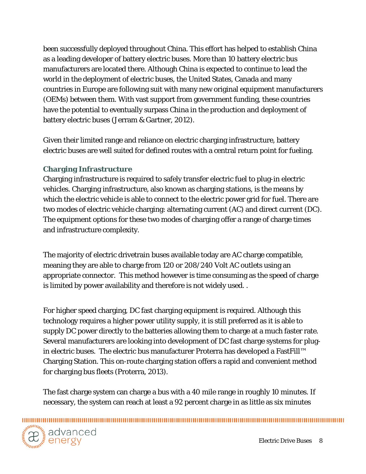been successfully deployed throughout China. This effort has helped to establish China as a leading developer of battery electric buses. More than 10 battery electric bus manufacturers are located there. Although China is expected to continue to lead the world in the deployment of electric buses, the United States, Canada and many countries in Europe are following suit with many new original equipment manufacturers (OEMs) between them. With vast support from government funding, these countries have the potential to eventually surpass China in the production and deployment of battery electric buses (Jerram & Gartner, 2012).

Given their limited range and reliance on electric charging infrastructure, battery electric buses are well suited for defined routes with a central return point for fueling.

#### <span id="page-7-0"></span>**Charging Infrastructure**

Charging infrastructure is required to safely transfer electric fuel to plug-in electric vehicles. Charging infrastructure, also known as charging stations, is the means by which the electric vehicle is able to connect to the electric power grid for fuel. There are two modes of electric vehicle charging: alternating current (AC) and direct current (DC). The equipment options for these two modes of charging offer a range of charge times and infrastructure complexity.

The majority of electric drivetrain buses available today are AC charge compatible, meaning they are able to charge from 120 or 208/240 Volt AC outlets using an appropriate connector. This method however is time consuming as the speed of charge is limited by power availability and therefore is not widely used. .

For higher speed charging, DC fast charging equipment is required. Although this technology requires a higher power utility supply, it is still preferred as it is able to supply DC power directly to the batteries allowing them to charge at a much faster rate. Several manufacturers are looking into development of DC fast charge systems for plugin electric buses. The electric bus manufacturer Proterra has developed a FastFill™ Charging Station. This on-route charging station offers a rapid and convenient method for charging bus fleets (Proterra, 2013).

The fast charge system can charge a bus with a 40 mile range in roughly 10 minutes. If necessary, the system can reach at least a 92 percent charge in as little as six minutes

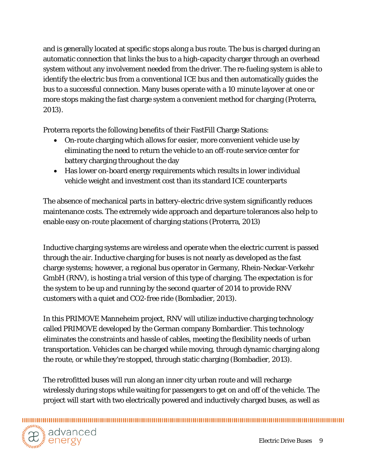and is generally located at specific stops along a bus route. The bus is charged during an automatic connection that links the bus to a high-capacity charger through an overhead system without any involvement needed from the driver. The re-fueling system is able to identify the electric bus from a conventional ICE bus and then automatically guides the bus to a successful connection. Many buses operate with a 10 minute layover at one or more stops making the fast charge system a convenient method for charging (Proterra, 2013).

Proterra reports the following benefits of their FastFill Charge Stations:

- On-route charging which allows for easier, more convenient vehicle use by eliminating the need to return the vehicle to an off-route service center for battery charging throughout the day
- Has lower on-board energy requirements which results in lower individual vehicle weight and investment cost than its standard ICE counterparts

The absence of mechanical parts in battery-electric drive system significantly reduces maintenance costs. The extremely wide approach and departure tolerances also help to enable easy on-route placement of charging stations (Proterra, 2013)

Inductive charging systems are wireless and operate when the electric current is passed through the air. Inductive charging for buses is not nearly as developed as the fast charge systems; however, a regional bus operator in Germany, Rhein-Neckar-Verkehr GmbH (RNV), is hosting a trial version of this type of charging. The expectation is for the system to be up and running by the second quarter of 2014 to provide RNV customers with a quiet and CO2-free ride (Bombadier, 2013).

In this PRIMOVE Manneheim project, RNV will utilize inductive charging technology called PRIMOVE developed by the German company Bombardier. This technology eliminates the constraints and hassle of cables, meeting the flexibility needs of urban transportation. Vehicles can be charged while moving, through dynamic charging along the route, or while they're stopped, through static charging (Bombadier, 2013).

The retrofitted buses will run along an inner city urban route and will recharge wirelessly during stops while waiting for passengers to get on and off of the vehicle. The project will start with two electrically powered and inductively charged buses, as well as

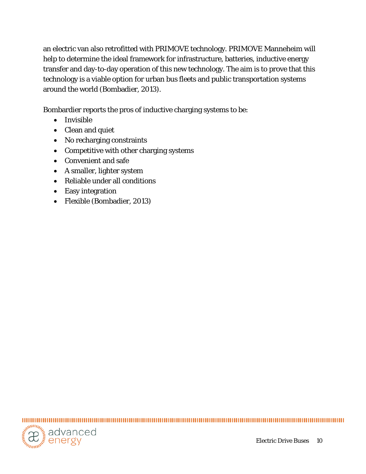an electric van also retrofitted with PRIMOVE technology. PRIMOVE Manneheim will help to determine the ideal framework for infrastructure, batteries, inductive energy transfer and day-to-day operation of this new technology. The aim is to prove that this technology is a viable option for urban bus fleets and public transportation systems around the world (Bombadier, 2013).

Bombardier reports the pros of inductive charging systems to be:

- Invisible
- Clean and quiet
- No recharging constraints
- Competitive with other charging systems
- Convenient and safe
- A smaller, lighter system
- Reliable under all conditions
- Easy integration
- Flexible (Bombadier, 2013)

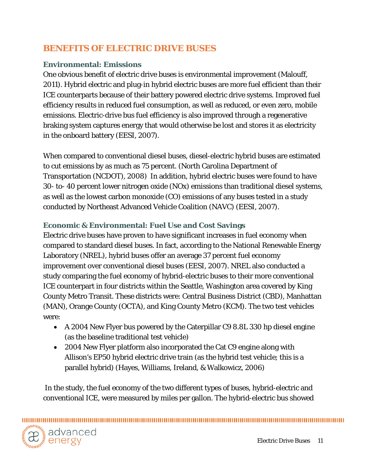# <span id="page-10-0"></span>**BENEFITS OF ELECTRIC DRIVE BUSES**

#### <span id="page-10-1"></span>**Environmental: Emissions**

One obvious benefit of electric drive buses is environmental improvement (Malouff, 2011). Hybrid electric and plug-in hybrid electric buses are more fuel efficient than their ICE counterparts because of their battery powered electric drive systems. Improved fuel efficiency results in reduced fuel consumption, as well as reduced, or even zero, mobile emissions. Electric-drive bus fuel efficiency is also improved through a regenerative braking system captures energy that would otherwise be lost and stores it as electricity in the onboard battery (EESI, 2007).

When compared to conventional diesel buses, diesel-electric hybrid buses are estimated to cut emissions by as much as 75 percent. (North Carolina Department of Transportation (NCDOT), 2008) In addition, hybrid electric buses were found to have 30- to- 40 percent lower nitrogen oxide (NOx) emissions than traditional diesel systems, as well as the lowest carbon monoxide (CO) emissions of any buses tested in a study conducted by Northeast Advanced Vehicle Coalition (NAVC) (EESI, 2007).

## <span id="page-10-2"></span>**Economic & Environmental: Fuel Use and Cost Savings**

Electric drive buses have proven to have significant increases in fuel economy when compared to standard diesel buses. In fact, according to the National Renewable Energy Laboratory (NREL), hybrid buses offer an average 37 percent fuel economy improvement over conventional diesel buses (EESI, 2007). NREL also conducted a study comparing the fuel economy of hybrid-electric buses to their more conventional ICE counterpart in four districts within the Seattle, Washington area covered by King County Metro Transit. These districts were: Central Business District (CBD), Manhattan (MAN), Orange County (OCTA), and King County Metro (KCM). The two test vehicles were:

- A 2004 New Flyer bus powered by the Caterpillar C9 8.8L 330 hp diesel engine (as the baseline traditional test vehicle)
- 2004 New Flyer platform also incorporated the Cat C9 engine along with Allison's EP50 hybrid electric drive train (as the hybrid test vehicle; this is a parallel hybrid) (Hayes, Williams, Ireland, & Walkowicz, 2006)

In the study, the fuel economy of the two different types of buses, hybrid-electric and conventional ICE, were measured by miles per gallon. The hybrid-electric bus showed

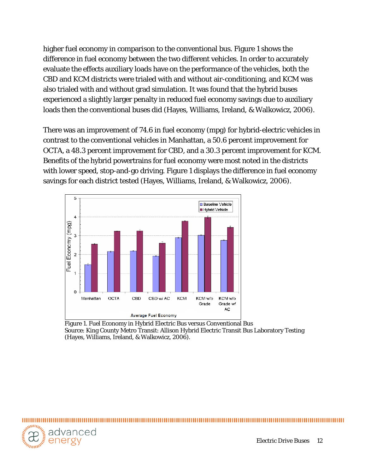higher fuel economy in comparison to the conventional bus. Figure 1 shows the difference in fuel economy between the two different vehicles. In order to accurately evaluate the effects auxiliary loads have on the performance of the vehicles, both the CBD and KCM districts were trialed with and without air-conditioning, and KCM was also trialed with and without grad simulation. It was found that the hybrid buses experienced a slightly larger penalty in reduced fuel economy savings due to auxiliary loads then the conventional buses did (Hayes, Williams, Ireland, & Walkowicz, 2006).

There was an improvement of 74.6 in fuel economy (mpg) for hybrid-electric vehicles in contrast to the conventional vehicles in Manhattan, a 50.6 percent improvement for OCTA, a 48.3 percent improvement for CBD, and a 30.3 percent improvement for KCM. Benefits of the hybrid powertrains for fuel economy were most noted in the districts with lower speed, stop-and-go driving. Figure 1 displays the difference in fuel economy savings for each district tested (Hayes, Williams, Ireland, & Walkowicz, 2006).



<span id="page-11-0"></span>Figure 1. Fuel Economy in Hybrid Electric Bus versus Conventional Bus Source: King County Metro Transit: Allison Hybrid Electric Transit Bus Laboratory Testing (Hayes, Williams, Ireland, & Walkowicz, 2006).

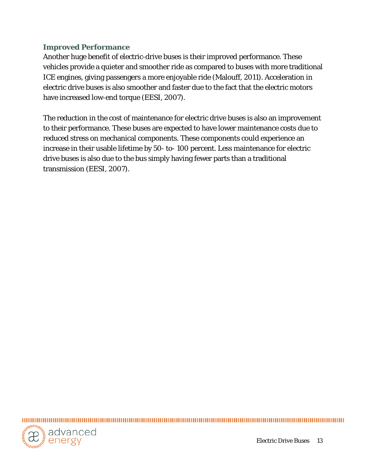#### **Improved Performance**

Another huge benefit of electric-drive buses is their improved performance. These vehicles provide a quieter and smoother ride as compared to buses with more traditional ICE engines, giving passengers a more enjoyable ride (Malouff, 2011). Acceleration in electric drive buses is also smoother and faster due to the fact that the electric motors have increased low-end torque (EESI, 2007).

The reduction in the cost of maintenance for electric drive buses is also an improvement to their performance. These buses are expected to have lower maintenance costs due to reduced stress on mechanical components. These components could experience an increase in their usable lifetime by 50- to- 100 percent. Less maintenance for electric drive buses is also due to the bus simply having fewer parts than a traditional transmission (EESI, 2007).

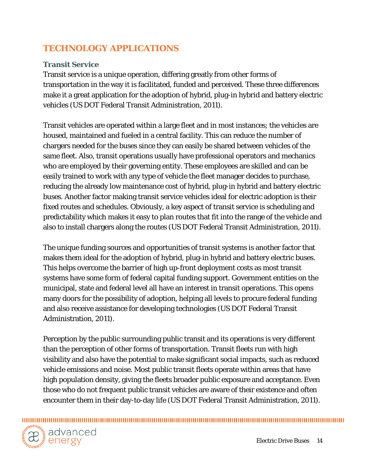# <span id="page-13-0"></span>**TECHNOLOGY APPLICATIONS**

## <span id="page-13-1"></span>**Transit Service**

Transit service is a unique operation, differing greatly from other forms of transportation in the way it is facilitated, funded and perceived. These three differences make it a great application for the adoption of hybrid, plug-in hybrid and battery electric vehicles (US DOT Federal Transit Administration, 2011).

Transit vehicles are operated within a large fleet and in most instances; the vehicles are housed, maintained and fueled in a central facility. This can reduce the number of chargers needed for the buses since they can easily be shared between vehicles of the same fleet. Also, transit operations usually have professional operators and mechanics who are employed by their governing entity. These employees are skilled and can be easily trained to work with any type of vehicle the fleet manager decides to purchase, reducing the already low maintenance cost of hybrid, plug-in hybrid and battery electric buses. Another factor making transit service vehicles ideal for electric adoption is their fixed routes and schedules. Obviously, a key aspect of transit service is scheduling and predictability which makes it easy to plan routes that fit into the range of the vehicle and also to install chargers along the routes (US DOT Federal Transit Administration, 2011).

The unique funding sources and opportunities of transit systems is another factor that makes them ideal for the adoption of hybrid, plug-in hybrid and battery electric buses. This helps overcome the barrier of high up-front deployment costs as most transit systems have some form of federal capital funding support. Government entities on the municipal, state and federal level all have an interest in transit operations. This opens many doors for the possibility of adoption, helping all levels to procure federal funding and also receive assistance for developing technologies (US DOT Federal Transit Administration, 2011).

Perception by the public surrounding public transit and its operations is very different than the perception of other forms of transportation. Transit fleets run with high visibility and also have the potential to make significant social impacts, such as reduced vehicle emissions and noise. Most public transit fleets operate within areas that have high population density, giving the fleets broader public exposure and acceptance. Even those who do not frequent public transit vehicles are aware of their existence and often encounter them in their day-to-day life (US DOT Federal Transit Administration, 2011).

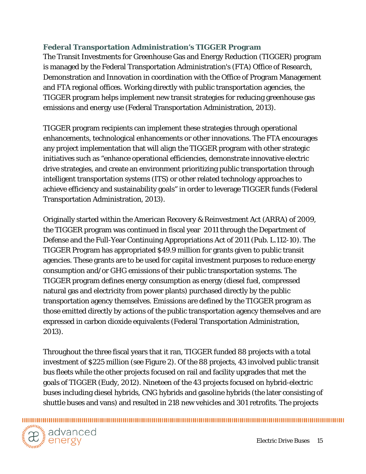## **Federal Transportation Administration's TIGGER Program**

The Transit Investments for Greenhouse Gas and Energy Reduction (TIGGER) program is managed by the Federal Transportation Administration's (FTA) Office of Research, Demonstration and Innovation in coordination with the Office of Program Management and FTA regional offices. Working directly with public transportation agencies, the TIGGER program helps implement new transit strategies for reducing greenhouse gas emissions and energy use (Federal Transportation Administration, 2013).

TIGGER program recipients can implement these strategies through operational enhancements, technological enhancements or other innovations. The FTA encourages any project implementation that will align the TIGGER program with other strategic initiatives such as "enhance operational efficiencies, demonstrate innovative electric drive strategies, and create an environment prioritizing public transportation through intelligent transportation systems (ITS) or other related technology approaches to achieve efficiency and sustainability goals" in order to leverage TIGGER funds (Federal Transportation Administration, 2013).

Originally started within the American Recovery & Reinvestment Act (ARRA) of 2009, the TIGGER program was continued in fiscal year 2011 through the Department of Defense and the Full-Year Continuing Appropriations Act of 2011 (Pub. L.112-10). The TIGGER Program has appropriated \$49.9 million for grants given to public transit agencies. These grants are to be used for capital investment purposes to reduce energy consumption and/or GHG emissions of their public transportation systems. The TIGGER program defines energy consumption as energy (diesel fuel, compressed natural gas and electricity from power plants) purchased directly by the public transportation agency themselves. Emissions are defined by the TIGGER program as those emitted directly by actions of the public transportation agency themselves and are expressed in carbon dioxide equivalents (Federal Transportation Administration, 2013).

Throughout the three fiscal years that it ran, TIGGER funded 88 projects with a total investment of \$225 million (see Figure 2). Of the 88 projects, 43 involved public transit bus fleets while the other projects focused on rail and facility upgrades that met the goals of TIGGER (Eudy, 2012). Nineteen of the 43 projects focused on hybrid-electric buses including diesel hybrids, CNG hybrids and gasoline hybrids (the later consisting of shuttle buses and vans) and resulted in 218 new vehicles and 301 retrofits. The projects

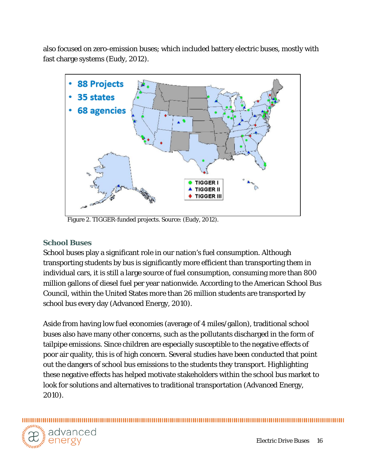also focused on zero-emission buses; which included battery electric buses, mostly with fast charge systems (Eudy, 2012).



Figure 2. TIGGER-funded projects. Source: (Eudy, 2012).

#### <span id="page-15-0"></span>**School Buses**

School buses play a significant role in our nation's fuel consumption. Although transporting students by bus is significantly more efficient than transporting them in individual cars, it is still a large source of fuel consumption, consuming more than 800 million gallons of diesel fuel per year nationwide. According to the American School Bus Council, within the United States more than 26 million students are transported by school bus every day (Advanced Energy, 2010).

Aside from having low fuel economies (average of 4 miles/gallon), traditional school buses also have many other concerns, such as the pollutants discharged in the form of tailpipe emissions. Since children are especially susceptible to the negative effects of poor air quality, this is of high concern. Several studies have been conducted that point out the dangers of school bus emissions to the students they transport. Highlighting these negative effects has helped motivate stakeholders within the school bus market to look for solutions and alternatives to traditional transportation (Advanced Energy, 2010).

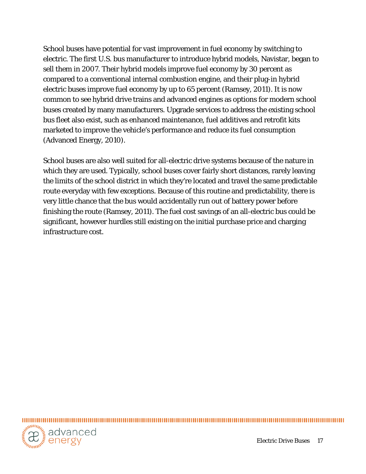School buses have potential for vast improvement in fuel economy by switching to electric. The first U.S. bus manufacturer to introduce hybrid models, Navistar, began to sell them in 2007. Their hybrid models improve fuel economy by 30 percent as compared to a conventional internal combustion engine, and their plug-in hybrid electric buses improve fuel economy by up to 65 percent (Ramsey, 2011). It is now common to see hybrid drive trains and advanced engines as options for modern school buses created by many manufacturers. Upgrade services to address the existing school bus fleet also exist, such as enhanced maintenance, fuel additives and retrofit kits marketed to improve the vehicle's performance and reduce its fuel consumption (Advanced Energy, 2010).

School buses are also well suited for all-electric drive systems because of the nature in which they are used. Typically, school buses cover fairly short distances, rarely leaving the limits of the school district in which they're located and travel the same predictable route everyday with few exceptions. Because of this routine and predictability, there is very little chance that the bus would accidentally run out of battery power before finishing the route (Ramsey, 2011). The fuel cost savings of an all-electric bus could be significant, however hurdles still existing on the initial purchase price and charging infrastructure cost.

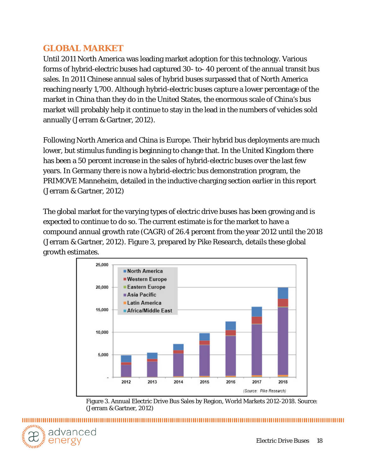# <span id="page-17-0"></span>**GLOBAL MARKET**

Until 2011 North America was leading market adoption for this technology. Various forms of hybrid-electric buses had captured 30- to- 40 percent of the annual transit bus sales. In 2011 Chinese annual sales of hybrid buses surpassed that of North America reaching nearly 1,700. Although hybrid-electric buses capture a lower percentage of the market in China than they do in the United States, the enormous scale of China's bus market will probably help it continue to stay in the lead in the numbers of vehicles sold annually (Jerram & Gartner, 2012).

Following North America and China is Europe. Their hybrid bus deployments are much lower, but stimulus funding is beginning to change that. In the United Kingdom there has been a 50 percent increase in the sales of hybrid-electric buses over the last few years. In Germany there is now a hybrid-electric bus demonstration program, the PRIMOVE Manneheim*,* detailed in the inductive charging section earlier in this report (Jerram & Gartner, 2012)

The global market for the varying types of electric drive buses has been growing and is expected to continue to do so. The current estimate is for the market to have a compound annual growth rate (CAGR) of 26.4 percent from the year 2012 until the 2018 (Jerram & Gartner, 2012). Figure 3, prepared by Pike Research, details these global growth estimates.



Figure 3. Annual Electric Drive Bus Sales by Region, World Markets 2012-2018. Source: (Jerram & Gartner, 2012)

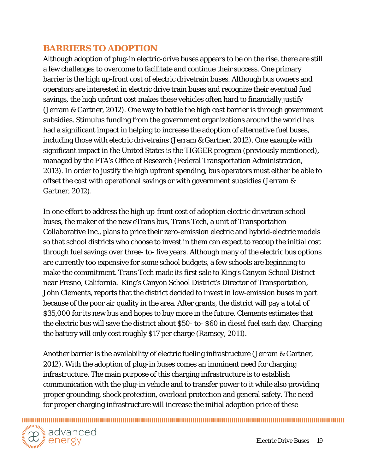# <span id="page-18-0"></span>**BARRIERS TO ADOPTION**

Although adoption of plug-in electric-drive buses appears to be on the rise, there are still a few challenges to overcome to facilitate and continue their success. One primary barrier is the high up-front cost of electric drivetrain buses. Although bus owners and operators are interested in electric drive train buses and recognize their eventual fuel savings, the high upfront cost makes these vehicles often hard to financially justify (Jerram & Gartner, 2012). One way to battle the high cost barrier is through government subsidies. Stimulus funding from the government organizations around the world has had a significant impact in helping to increase the adoption of alternative fuel buses, including those with electric drivetrains (Jerram & Gartner, 2012). One example with significant impact in the United States is the TIGGER program (previously mentioned), managed by the FTA's Office of Research (Federal Transportation Administration, 2013). In order to justify the high upfront spending, bus operators must either be able to offset the cost with operational savings or with government subsidies (Jerram & Gartner, 2012).

In one effort to address the high up-front cost of adoption electric drivetrain school buses, the maker of the new eTrans bus, Trans Tech, a unit of Transportation Collaborative Inc., plans to price their zero-emission electric and hybrid-electric models so that school districts who choose to invest in them can expect to recoup the initial cost through fuel savings over three- to- five years. Although many of the electric bus options are currently too expensive for some school budgets, a few schools are beginning to make the commitment. Trans Tech made its first sale to King's Canyon School District near Fresno, California. King's Canyon School District's Director of Transportation, John Clements, reports that the district decided to invest in low-emission buses in part because of the poor air quality in the area. After grants, the district will pay a total of \$35,000 for its new bus and hopes to buy more in the future. Clements estimates that the electric bus will save the district about \$50- to- \$60 in diesel fuel each day. Charging the battery will only cost roughly \$17 per charge (Ramsey, 2011).

Another barrier is the availability of electric fueling infrastructure (Jerram & Gartner, 2012). With the adoption of plug-in buses comes an imminent need for charging infrastructure. The main purpose of this charging infrastructure is to establish communication with the plug-in vehicle and to transfer power to it while also providing proper grounding, shock protection, overload protection and general safety. The need for proper charging infrastructure will increase the initial adoption price of these



,,,,,,,,,,,,,,,,,,,,,,,,,,,,,,,,,,,,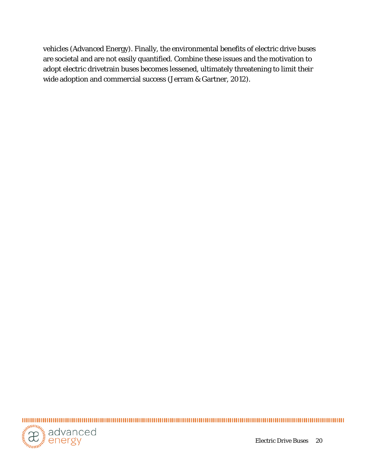vehicles (Advanced Energy). Finally, the environmental benefits of electric drive buses are societal and are not easily quantified. Combine these issues and the motivation to adopt electric drivetrain buses becomes lessened, ultimately threatening to limit their wide adoption and commercial success (Jerram & Gartner, 2012).



Electric Drive Buses 20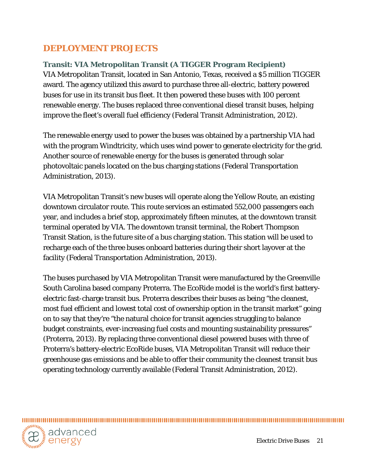# <span id="page-20-0"></span>**DEPLOYMENT PROJECTS**

## <span id="page-20-1"></span>**Transit: VIA Metropolitan Transit (A TIGGER Program Recipient)**

VIA Metropolitan Transit, located in San Antonio, Texas, received a \$5 million TIGGER award. The agency utilized this award to purchase three all-electric, battery powered buses for use in its transit bus fleet. It then powered these buses with 100 percent renewable energy. The buses replaced three conventional diesel transit buses, helping improve the fleet's overall fuel efficiency (Federal Transit Administration, 2012).

The renewable energy used to power the buses was obtained by a partnership VIA had with the program Windtricity, which uses wind power to generate electricity for the grid. Another source of renewable energy for the buses is generated through solar photovoltaic panels located on the bus charging stations (Federal Transportation Administration, 2013).

VIA Metropolitan Transit's new buses will operate along the Yellow Route, an existing downtown circulator route. This route services an estimated 552,000 passengers each year, and includes a brief stop, approximately fifteen minutes, at the downtown transit terminal operated by VIA. The downtown transit terminal, the Robert Thompson Transit Station, is the future site of a bus charging station. This station will be used to recharge each of the three buses onboard batteries during their short layover at the facility (Federal Transportation Administration, 2013).

The buses purchased by VIA Metropolitan Transit were manufactured by the Greenville South Carolina based company Proterra. The EcoRide model is the world's first batteryelectric fast-charge transit bus. Proterra describes their buses as being "the cleanest, most fuel efficient and lowest total cost of ownership option in the transit market" going on to say that they're "the natural choice for transit agencies struggling to balance budget constraints, ever-increasing fuel costs and mounting sustainability pressures" (Proterra, 2013). By replacing three conventional diesel powered buses with three of Proterra's battery-electric EcoRide buses, VIA Metropolitan Transit will reduce their greenhouse gas emissions and be able to offer their community the cleanest transit bus operating technology currently available (Federal Transit Administration, 2012).

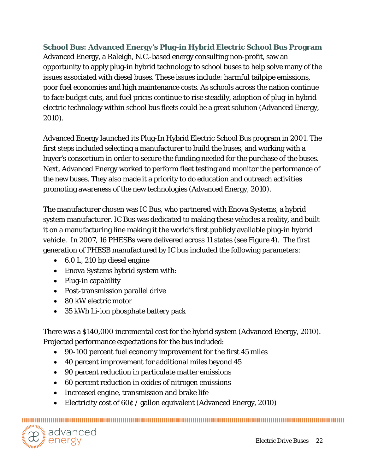<span id="page-21-0"></span>**School Bus: Advanced Energy's Plug-in Hybrid Electric School Bus Program** Advanced Energy, a Raleigh, N.C.-based energy consulting non-profit, saw an opportunity to apply plug-in hybrid technology to school buses to help solve many of the issues associated with diesel buses. These issues include: harmful tailpipe emissions, poor fuel economies and high maintenance costs. As schools across the nation continue to face budget cuts, and fuel prices continue to rise steadily, adoption of plug-in hybrid electric technology within school bus fleets could be a great solution (Advanced Energy, 2010).

Advanced Energy launched its Plug-In Hybrid Electric School Bus program in 2001. The first steps included selecting a manufacturer to build the buses, and working with a buyer's consortium in order to secure the funding needed for the purchase of the buses. Next, Advanced Energy worked to perform fleet testing and monitor the performance of the new buses. They also made it a priority to do education and outreach activities promoting awareness of the new technologies (Advanced Energy, 2010).

The manufacturer chosen was IC Bus, who partnered with Enova Systems, a hybrid system manufacturer. IC Bus was dedicated to making these vehicles a reality, and built it on a manufacturing line making it the world's first publicly available plug-in hybrid vehicle. In 2007, 16 PHESBs were delivered across 11 states (see Figure 4). The first generation of PHESB manufactured by IC bus included the following parameters:

- 6.0 L, 210 hp diesel engine
- Enova Systems hybrid system with:
- Plug-in capability
- Post-transmission parallel drive
- 80 kW electric motor
- 35 kWh Li-ion phosphate battery pack

There was a \$140,000 incremental cost for the hybrid system (Advanced Energy, 2010). Projected performance expectations for the bus included:

- 90-100 percent fuel economy improvement for the first 45 miles
- 40 percent improvement for additional miles beyond 45
- 90 percent reduction in particulate matter emissions
- 60 percent reduction in oxides of nitrogen emissions
- Increased engine, transmission and brake life
- Electricity cost of 60¢ / gallon equivalent (Advanced Energy, 2010)

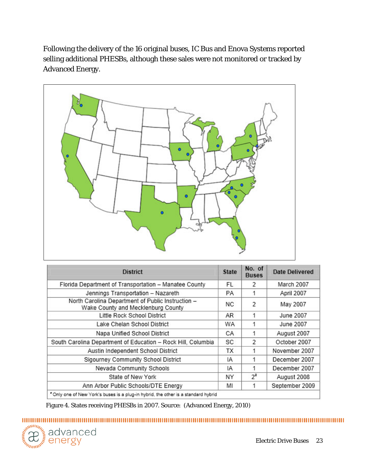Following the delivery of the 16 original buses, IC Bus and Enova Systems reported selling additional PHESBs, although these sales were not monitored or tracked by Advanced Energy.



| <b>District</b>                                                                         | <b>State</b> | No. of<br><b>Buses</b> | Date Delivered |  |
|-----------------------------------------------------------------------------------------|--------------|------------------------|----------------|--|
| Florida Department of Transportation - Manatee County                                   | FL           | $\mathcal{P}$          | March 2007     |  |
| Jennings Transportation - Nazareth                                                      | PA.          | 1                      | April 2007     |  |
| North Carolina Department of Public Instruction -<br>Wake County and Mecklenburg County | NC.          | $\mathcal{P}$          | May 2007       |  |
| Little Rock School District                                                             | AR.          | 1                      | June 2007      |  |
| Lake Chelan School District                                                             | WA           | 1                      | June 2007      |  |
| Napa Unified School District                                                            | CA           | 1                      | August 2007    |  |
| South Carolina Department of Education - Rock Hill, Columbia                            | SC           | $\mathcal{P}$          | October 2007   |  |
| Austin Independent School District                                                      | ТX           | 1                      | November 2007  |  |
| Sigourney Community School District                                                     | IA           | 1                      | December 2007  |  |
| Nevada Community Schools                                                                | IA           |                        | December 2007  |  |
| State of New York                                                                       | NY           | $2^a$                  | August 2008    |  |
| Ann Arbor Public Schools/DTE Energy                                                     | MI           |                        | September 2009 |  |
| "Only one of New York's buses is a plug-in hybrid, the other is a standard hybrid       |              |                        |                |  |

Figure 4. States receiving PHESBs in 2007. Source: (Advanced Energy, 2010)

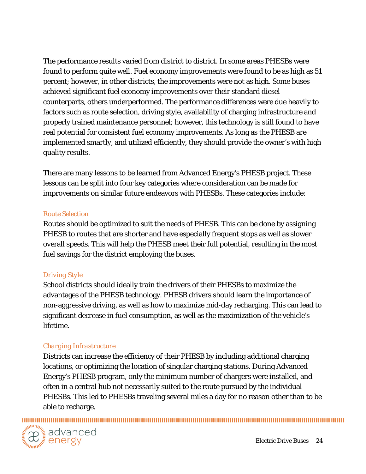The performance results varied from district to district. In some areas PHESBs were found to perform quite well. Fuel economy improvements were found to be as high as 51 percent; however, in other districts, the improvements were not as high. Some buses achieved significant fuel economy improvements over their standard diesel counterparts, others underperformed. The performance differences were due heavily to factors such as route selection, driving style, availability of charging infrastructure and properly trained maintenance personnel; however, this technology is still found to have real potential for consistent fuel economy improvements. As long as the PHESB are implemented smartly, and utilized efficiently, they should provide the owner's with high quality results.

There are many lessons to be learned from Advanced Energy's PHESB project. These lessons can be split into four key categories where consideration can be made for improvements on similar future endeavors with PHESBs. These categories include:

#### *Route Selection*

Routes should be optimized to suit the needs of PHESB. This can be done by assigning PHESB to routes that are shorter and have especially frequent stops as well as slower overall speeds. This will help the PHESB meet their full potential, resulting in the most fuel savings for the district employing the buses.

#### *Driving Style*

School districts should ideally train the drivers of their PHESBs to maximize the advantages of the PHESB technology. PHESB drivers should learn the importance of non-aggressive driving, as well as how to maximize mid-day recharging. This can lead to significant decrease in fuel consumption, as well as the maximization of the vehicle's lifetime.

#### *Charging Infrastructure*

Districts can increase the efficiency of their PHESB by including additional charging locations, or optimizing the location of singular charging stations. During Advanced Energy's PHESB program, only the minimum number of chargers were installed, and often in a central hub not necessarily suited to the route pursued by the individual PHESBs. This led to PHESBs traveling several miles a day for no reason other than to be able to recharge.

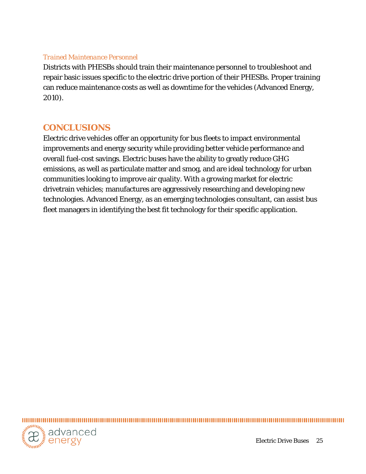#### *Trained Maintenance Personnel*

Districts with PHESBs should train their maintenance personnel to troubleshoot and repair basic issues specific to the electric drive portion of their PHESBs. Proper training can reduce maintenance costs as well as downtime for the vehicles (Advanced Energy, 2010).

## **CONCLUSIONS**

Electric drive vehicles offer an opportunity for bus fleets to impact environmental improvements and energy security while providing better vehicle performance and overall fuel-cost savings. Electric buses have the ability to greatly reduce GHG emissions, as well as particulate matter and smog, and are ideal technology for urban communities looking to improve air quality. With a growing market for electric drivetrain vehicles; manufactures are aggressively researching and developing new technologies. Advanced Energy, as an emerging technologies consultant, can assist bus fleet managers in identifying the best fit technology for their specific application.

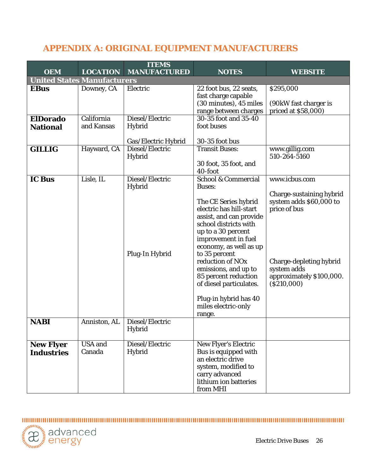# <span id="page-25-0"></span>**APPENDIX A: ORIGINAL EQUIPMENT MANUFACTURERS**

|                                       |                          | <b>ITEMS</b>                                       |                                                                                                                                                                                                                                                                                                                                                                                                                     |                                                                                                                                                                            |  |  |
|---------------------------------------|--------------------------|----------------------------------------------------|---------------------------------------------------------------------------------------------------------------------------------------------------------------------------------------------------------------------------------------------------------------------------------------------------------------------------------------------------------------------------------------------------------------------|----------------------------------------------------------------------------------------------------------------------------------------------------------------------------|--|--|
| <b>OEM</b>                            | <b>LOCATION</b>          | <b>MANUFACTURED</b>                                | <b>NOTES</b>                                                                                                                                                                                                                                                                                                                                                                                                        | WEBSITE                                                                                                                                                                    |  |  |
| <b>United States Manufacturers</b>    |                          |                                                    |                                                                                                                                                                                                                                                                                                                                                                                                                     |                                                                                                                                                                            |  |  |
| <b>EBus</b>                           | Downey, CA               | Electric                                           | 22 foot bus, 22 seats,<br>fast charge capable<br>(30 minutes), 45 miles<br>range between charges                                                                                                                                                                                                                                                                                                                    | \$295,000<br>(90kW fast charger is<br>priced at \$58,000)                                                                                                                  |  |  |
| <b>ElDorado</b><br><b>National</b>    | California<br>and Kansas | Diesel/Electric<br>Hybrid<br>Gas/Electric Hybrid   | 30-35 foot and 35-40<br>foot buses<br>30-35 foot bus                                                                                                                                                                                                                                                                                                                                                                |                                                                                                                                                                            |  |  |
| <b>GILLIG</b>                         | Hayward, CA              | Diesel/Electric<br>Hybrid                          | <b>Transit Buses:</b><br>30 foot, 35 foot, and<br>40-foot                                                                                                                                                                                                                                                                                                                                                           | www.gillig.com<br>510-264-5160                                                                                                                                             |  |  |
| <b>IC Bus</b>                         | Lisle, IL                | Diesel/Electric<br><b>Hybrid</b><br>Plug-In Hybrid | <b>School &amp; Commercial</b><br><b>Buses:</b><br>The CE Series hybrid<br>electric has hill-start<br>assist, and can provide<br>school districts with<br>up to a 30 percent<br>improvement in fuel<br>economy, as well as up<br>to 35 percent<br>reduction of NO <sub>x</sub><br>emissions, and up to<br>85 percent reduction<br>of diesel particulates.<br>Plug-in hybrid has 40<br>miles electric-only<br>range. | www.icbus.com<br>Charge-sustaining hybrid<br>system adds \$60,000 to<br>price of bus<br>Charge-depleting hybrid<br>system adds<br>approximately \$100,000.<br>( \$210,000) |  |  |
| <b>NABI</b>                           | Anniston, AL             | Diesel/Electric<br>Hybrid                          |                                                                                                                                                                                                                                                                                                                                                                                                                     |                                                                                                                                                                            |  |  |
| <b>New Flyer</b><br><b>Industries</b> | <b>USA</b> and<br>Canada | Diesel/Electric<br>Hybrid                          | <b>New Flyer's Electric</b><br>Bus is equipped with<br>an electric drive<br>system, modified to<br>carry advanced<br>lithium ion batteries<br>from MHI                                                                                                                                                                                                                                                              |                                                                                                                                                                            |  |  |

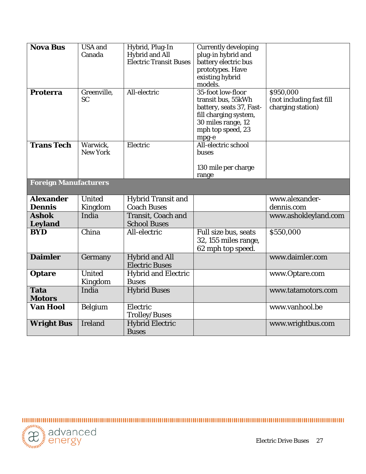| <b>Nova Bus</b>              | <b>USA</b> and  | Hybrid, Plug-In               | <b>Currently developing</b> |                          |
|------------------------------|-----------------|-------------------------------|-----------------------------|--------------------------|
|                              | Canada          | Hybrid and All                | plug-in hybrid and          |                          |
|                              |                 | <b>Electric Transit Buses</b> | battery electric bus        |                          |
|                              |                 |                               | prototypes. Have            |                          |
|                              |                 |                               | existing hybrid             |                          |
|                              |                 |                               | models.                     |                          |
| <b>Proterra</b>              | Greenville,     | All-electric                  | 35-foot low-floor           | \$950,000                |
|                              | <b>SC</b>       |                               | transit bus, 55kWh          | (not including fast fill |
|                              |                 |                               | battery, seats 37, Fast-    | charging station)        |
|                              |                 |                               | fill charging system,       |                          |
|                              |                 |                               | 30 miles range, 12          |                          |
|                              |                 |                               | mph top speed, 23           |                          |
|                              |                 |                               | mpg-e                       |                          |
| <b>Trans Tech</b>            | Warwick.        | Electric                      | All-electric school         |                          |
|                              | <b>New York</b> |                               | buses                       |                          |
|                              |                 |                               |                             |                          |
|                              |                 |                               | 130 mile per charge         |                          |
|                              |                 |                               | range                       |                          |
| <b>Foreign Manufacturers</b> |                 |                               |                             |                          |
| <b>Alexander</b>             | <b>United</b>   | <b>Hybrid Transit and</b>     |                             | www.alexander-           |
| <b>Dennis</b>                | Kingdom         | <b>Coach Buses</b>            |                             | dennis.com               |
| <b>Ashok</b>                 | India           | <b>Transit, Coach and</b>     |                             | www.ashokleyland.com     |
| <b>Leyland</b>               |                 | <b>School Buses</b>           |                             |                          |
| <b>BYD</b>                   | China           | All-electric                  | Full size bus, seats        | \$550,000                |
|                              |                 |                               | 32, 155 miles range,        |                          |
|                              |                 |                               | 62 mph top speed.           |                          |
| <b>Daimler</b>               | Germany         | <b>Hybrid and All</b>         |                             | www.daimler.com          |
|                              |                 | <b>Electric Buses</b>         |                             |                          |
| Optare                       | <b>United</b>   | <b>Hybrid and Electric</b>    |                             | www.Optare.com           |
|                              | Kingdom         | <b>Buses</b>                  |                             |                          |
| <b>Tata</b>                  | India           | <b>Hybrid Buses</b>           |                             | www.tatamotors.com       |
| <b>Motors</b>                |                 |                               |                             |                          |
|                              |                 |                               |                             |                          |
| <b>Van Hool</b>              | <b>Belgium</b>  | Electric                      |                             | www.vanhool.be           |
|                              |                 | <b>Trolley/Buses</b>          |                             |                          |
| <b>Wright Bus</b>            | Ireland         | <b>Hybrid Electric</b>        |                             | www.wrightbus.com        |
|                              |                 | <b>Buses</b>                  |                             |                          |

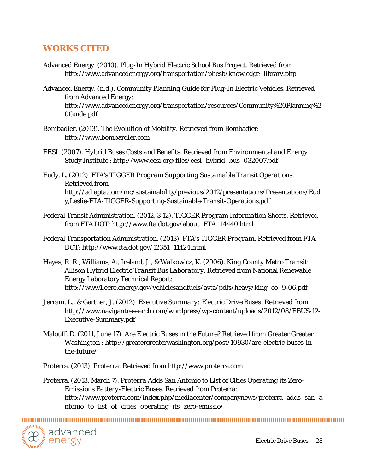## <span id="page-27-0"></span>**WORKS CITED**

- Advanced Energy. (2010). *Plug-In Hybrid Electric School Bus Project.* Retrieved from http://www.advancedenergy.org/transportation/phesb/knowledge\_library.php
- Advanced Energy. (n.d.). *Community Planning Guide for Plug-In Electric Vehicles.* Retrieved from Advanced Energy: http://www.advancedenergy.org/transportation/resources/Community%20Planning%2 0Guide.pdf
- Bombadier. (2013). *The Evolution of Mobility.* Retrieved from Bombadier: http://www.bombardier.com
- EESI. (2007). *Hybrid Buses Costs and Benefits.* Retrieved from Environmental and Energy Study Institute : http://www.eesi.org/files/eesi\_hybrid\_bus\_032007.pdf
- Eudy, L. (2012). *FTA's TIGGER Program Supporting Sustainable Transit Operations.* Retrieved from http://ad.apta.com/mc/sustainability/previous/2012/presentations/Presentations/Eud y,Leslie-FTA-TIGGER-Supporting-Sustainable-Transit-Operations.pdf
- Federal Transit Administration. (2012, 3 12). *TIGGER Program Information Sheets.* Retrieved from FTA DOT: http://www.fta.dot.gov/about\_FTA\_14440.html
- Federal Transportation Administration. (2013). *FTA's TIGGER Program.* Retrieved from FTA DOT: http://www.fta.dot.gov/12351\_11424.html
- Hayes, R. R., Williams, A., Ireland, J., & Walkowicz, K. (2006). *King County Metro Transit: Allison Hybrid Electric Transit Bus Laboratory.* Retrieved from National Renewable Energy Laboratory Technical Report: http://www1.eere.energy.gov/vehiclesandfuels/avta/pdfs/heavy/king\_co\_9-06.pdf
- Jerram, L., & Gartner, J. (2012). *Executive Summary: Electric Drive Buses.* Retrieved from http://www.navigantresearch.com/wordpress/wp-content/uploads/2012/08/EBUS-12- Executive-Summary.pdf
- Malouff, D. (2011, June 17). *Are Electric Buses in the Future?* Retrieved from Greater Greater Washington : http://greatergreaterwashington.org/post/10930/are-electric-buses-inthe-future/

Proterra. (2013). *Proterra.* Retrieved from http://www.proterra.com

Proterra. (2013, March 7). *Proterra Adds San Antonio to List of Cities Operating its Zero-Emissions Battery-Electric Buses.* Retrieved from Proterra: http://www.proterra.com/index.php/mediacenter/companynews/proterra\_adds\_san\_a ntonio\_to\_list\_of\_cities\_operating\_its\_zero-emissio/